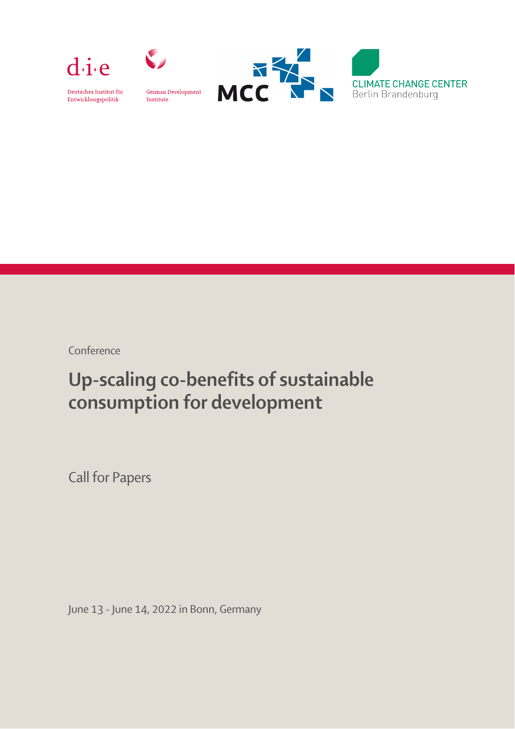



Deutsches Institut für Entwicklungspolitik

German Development Institute



Conference

# Up-scaling co-benefits of sustainable consumption for development

i, Call for Papers

June 13 - June 14, 2022 in Bonn, Germany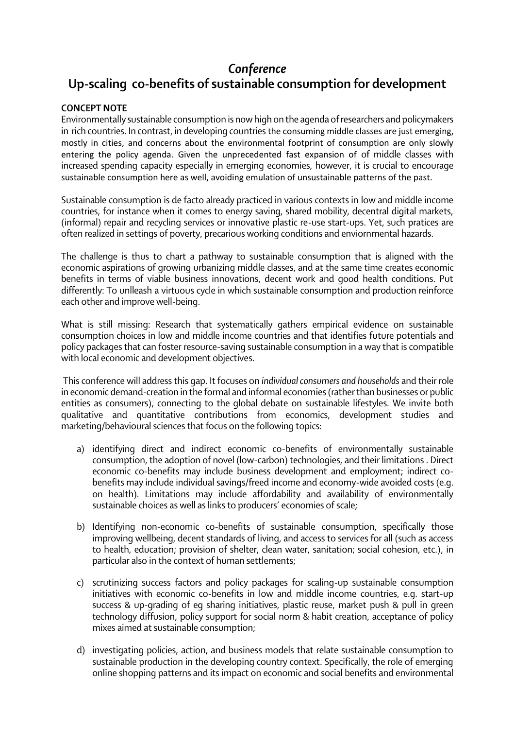## *Conference*

#### **Up-scaling co-benefits of sustainable consumption for development**

### **CONCEPT NOTE**

 in rich countries. In contrast, in developing countries the consuming middle classes are just emerging, mostly in cities, and concerns about the environmental footprint of consumption are only slowly entering the policy agenda. Given the unprecedented fast expansion of of middle classes with sustainable consumption here as well, avoiding emulation of unsustainable patterns of the past. Environmentally sustainable consumption is now high on the agenda of researchers and policymakers increased spending capacity especially in emerging economies, however, it is crucial to encourage

j Sustainable consumption is de facto already practiced in various contexts in low and middle income countries, for instance when it comes to energy saving, shared mobility, decentral digital markets, (informal) repair and recycling services or innovative plastic re-use start-ups. Yet, such pratices are often realized in settings of poverty, precarious working conditions and enviornmental hazards.

Ĭ. j The challenge is thus to chart a pathway to sustainable consumption that is aligned with the economic aspirations of growing urbanizing middle classes, and at the same time creates economic benefits in terms of viable business innovations, decent work and good health conditions. Put differently: To unlleash a virtuous cycle in which sustainable consumption and production reinforce each other and improve well-being.

What is still missing: Research that systematically gathers empirical evidence on sustainable consumption choices in low and middle income countries and that identifies future potentials and policy packages that can foster resource-saving sustainable consumption in a way that is compatible with local economic and development objectives.

This conference will address this gap. It focuses on *individual consumers and households* and their role in economic demand-creation in the formal and informal economies (rather than businesses or public entities as consumers), connecting to the global debate on sustainable lifestyles. We invite both qualitative and quantitative contributions from economics, development studies and marketing/behavioural sciences that focus on the following topics:

- $\overline{a}$  $\overline{a}$ a) identifying direct and indirect economic co-benefits of environmentally sustainable consumption, the adoption of novel (low-carbon) technologies, and their limitations . Direct economic co-benefits may include business development and employment; indirect cobenefits may include individual savings/freed income and economy-wide avoided costs (e.g. on health). Limitations may include affordability and availability of environmentally sustainable choices as well as links to producers' economies of scale;
- .<br>. Ĭ. b) Identifying non-economic co-benefits of sustainable consumption, specifically those improving wellbeing, decent standards of living, and access to services for all (such as access to health, education; provision of shelter, clean water, sanitation; social cohesion, etc.), in particular also in the context of human settlements;
- $\overline{a}$ c) scrutinizing success factors and policy packages for scaling-up sustainable consumption initiatives with economic co-benefits in low and middle income countries, e.g. start-up success & up-grading of eg sharing initiatives, plastic reuse, market push & pull in green technology diffusion, policy support for social norm & habit creation, acceptance of policy mixes aimed at sustainable consumption;
- d) investigating policies, action, and business models that relate sustainable consumption to sustainable production in the developing country context. Specifically, the role of emerging online shopping patterns and its impact on economic and social benefits and environmental